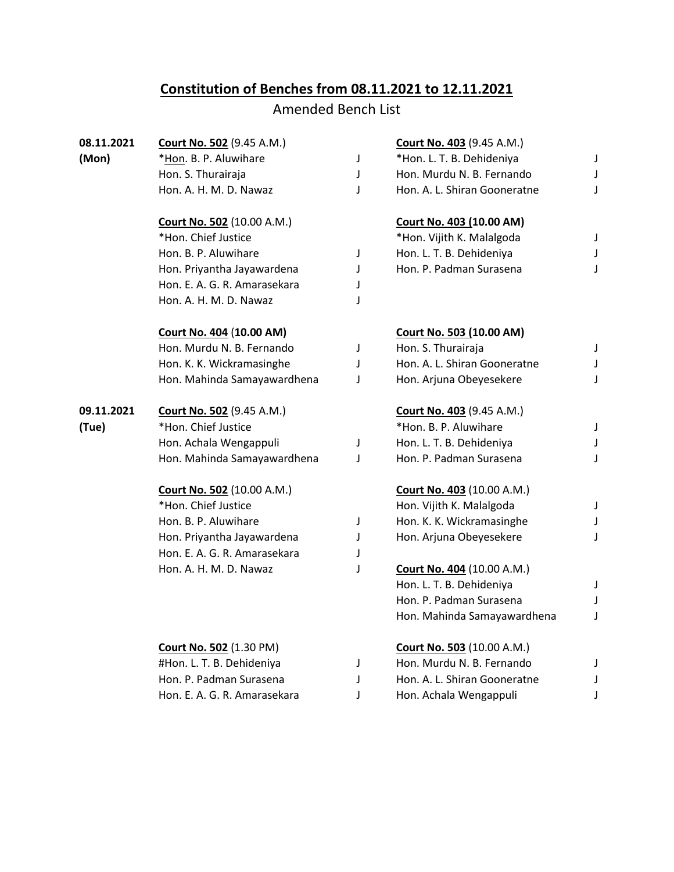## **Constitution of Benches from 08.11.2021 to 12.11.2021**

## Amended Bench List

| 08.11.2021 | Court No. 502 (9.45 A.M.)         |   | Court No. 403 (9.45 A.M.)         |             |
|------------|-----------------------------------|---|-----------------------------------|-------------|
| (Mon)      | *Hon. B. P. Aluwihare             | J | *Hon. L. T. B. Dehideniya         | J           |
|            | Hon. S. Thurairaja                | T | Hon. Murdu N. B. Fernando         | $\mathsf J$ |
|            | Hon. A. H. M. D. Nawaz            | J | Hon. A. L. Shiran Gooneratne      | J           |
|            | <b>Court No. 502 (10.00 A.M.)</b> |   | Court No. 403 (10.00 AM)          |             |
|            | *Hon. Chief Justice               |   | *Hon. Vijith K. Malalgoda         | J           |
|            | Hon. B. P. Aluwihare              | J | Hon. L. T. B. Dehideniya          | J           |
|            | Hon. Priyantha Jayawardena        | J | Hon. P. Padman Surasena           | J           |
|            | Hon. E. A. G. R. Amarasekara      | J |                                   |             |
|            | Hon. A. H. M. D. Nawaz            | J |                                   |             |
|            | Court No. 404 (10.00 AM)          |   | Court No. 503 (10.00 AM)          |             |
|            | Hon. Murdu N. B. Fernando         | J | Hon. S. Thurairaja                | J           |
|            | Hon. K. K. Wickramasinghe         | J | Hon. A. L. Shiran Gooneratne      | J           |
|            | Hon. Mahinda Samayawardhena       | J | Hon. Arjuna Obeyesekere           | J           |
| 09.11.2021 | Court No. 502 (9.45 A.M.)         |   | Court No. 403 (9.45 A.M.)         |             |
| (Tue)      | *Hon. Chief Justice               |   | *Hon. B. P. Aluwihare             | $\mathsf J$ |
|            | Hon. Achala Wengappuli            | J | Hon. L. T. B. Dehideniya          | J           |
|            | Hon. Mahinda Samayawardhena       | J | Hon. P. Padman Surasena           | J           |
|            | <b>Court No. 502 (10.00 A.M.)</b> |   | <b>Court No. 403 (10.00 A.M.)</b> |             |
|            | *Hon. Chief Justice               |   | Hon. Vijith K. Malalgoda          | J           |
|            | Hon. B. P. Aluwihare              | J | Hon. K. K. Wickramasinghe         | J           |
|            | Hon. Priyantha Jayawardena        | J | Hon. Arjuna Obeyesekere           | J           |
|            | Hon. E. A. G. R. Amarasekara      | J |                                   |             |
|            | Hon. A. H. M. D. Nawaz            | J | <b>Court No. 404 (10.00 A.M.)</b> |             |
|            |                                   |   | Hon. L. T. B. Dehideniya          | J           |
|            |                                   |   | Hon. P. Padman Surasena           | J           |
|            |                                   |   | Hon. Mahinda Samayawardhena       | J           |
|            | <b>Court No. 502 (1.30 PM)</b>    |   | Court No. 503 (10.00 A.M.)        |             |
|            | #Hon. L. T. B. Dehideniya         | J | Hon. Murdu N. B. Fernando         | J           |
|            | Hon. P. Padman Surasena           | J | Hon. A. L. Shiran Gooneratne      | J           |
|            | Hon. E. A. G. R. Amarasekara      | J | Hon. Achala Wengappuli            | J           |